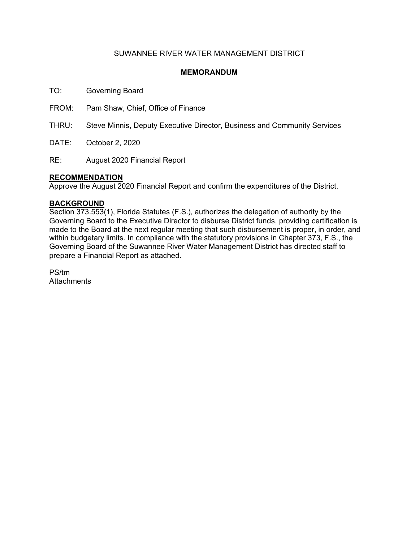#### SUWANNEE RIVER WATER MANAGEMENT DISTRICT

#### **MEMORANDUM**

TO: Governing Board

FROM: Pam Shaw, Chief, Office of Finance

THRU: Steve Minnis, Deputy Executive Director, Business and Community Services

DATE: October 2, 2020

RE: August 2020 Financial Report

#### **RECOMMENDATION**

Approve the August 2020 Financial Report and confirm the expenditures of the District.

#### **BACKGROUND**

Section 373.553(1), Florida Statutes (F.S.), authorizes the delegation of authority by the Governing Board to the Executive Director to disburse District funds, providing certification is made to the Board at the next regular meeting that such disbursement is proper, in order, and within budgetary limits. In compliance with the statutory provisions in Chapter 373, F.S., the Governing Board of the Suwannee River Water Management District has directed staff to prepare a Financial Report as attached.

PS/tm **Attachments**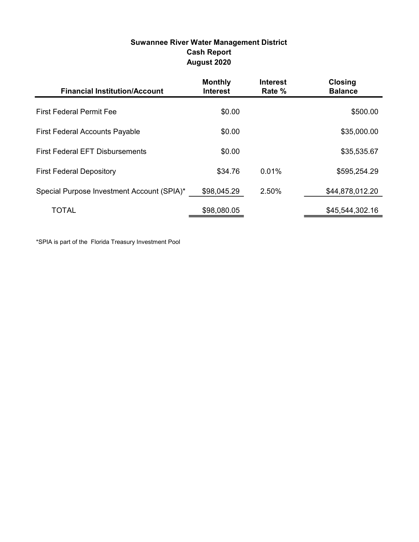#### Suwannee River Water Management District Cash Report August 2020

| <b>Financial Institution/Account</b>       | <b>Monthly</b><br><b>Interest</b> | <b>Interest</b><br>Rate % | <b>Closing</b><br><b>Balance</b> |
|--------------------------------------------|-----------------------------------|---------------------------|----------------------------------|
| <b>First Federal Permit Fee</b>            | \$0.00                            |                           | \$500.00                         |
| <b>First Federal Accounts Payable</b>      | \$0.00                            |                           | \$35,000.00                      |
| <b>First Federal EFT Disbursements</b>     | \$0.00                            |                           | \$35,535.67                      |
| <b>First Federal Depository</b>            | \$34.76                           | 0.01%                     | \$595,254.29                     |
| Special Purpose Investment Account (SPIA)* | \$98,045.29                       | 2.50%                     | \$44,878,012.20                  |
| TOTAL                                      | \$98,080.05                       |                           | \$45,544,302.16                  |

\*SPIA is part of the Florida Treasury Investment Pool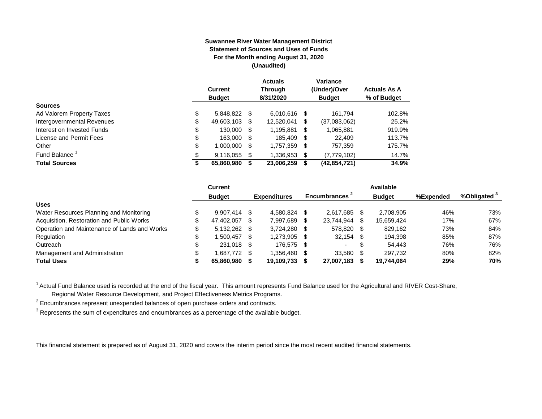#### **Suwannee River Water Management District Statement of Sources and Uses of Funds For the Month ending August 31, 2020 (Unaudited)**

|                                  | <b>Current</b><br><b>Budget</b> |      | <b>Actuals</b><br><b>Through</b><br>8/31/2020 |    | Variance<br>(Under)/Over<br><b>Budget</b> | <b>Actuals As A</b><br>% of Budget |
|----------------------------------|---------------------------------|------|-----------------------------------------------|----|-------------------------------------------|------------------------------------|
| <b>Sources</b>                   |                                 |      |                                               |    |                                           |                                    |
| \$<br>Ad Valorem Property Taxes  | 5,848,822                       | - \$ | 6.010.616                                     | S  | 161.794                                   | 102.8%                             |
| \$<br>Intergovernmental Revenues | 49,603,103                      | S    | 12.520.041                                    | \$ | (37,083,062)                              | 25.2%                              |
| \$<br>Interest on Invested Funds | 130.000                         | - \$ | 1,195,881                                     | \$ | 1,065,881                                 | 919.9%                             |
| \$<br>License and Permit Fees    | 163,000                         | - \$ | 185,409                                       | S  | 22,409                                    | 113.7%                             |
| \$<br>Other                      | 1,000,000                       | S    | 1,757,359                                     | S  | 757,359                                   | 175.7%                             |
| Fund Balance <sup>1</sup><br>\$  | 9.116.055                       | S    | 1,336,953                                     | \$ | (7,779,102)                               | 14.7%                              |
| <b>Total Sources</b><br>\$       | 65,860,980                      |      | 23,006,259                                    | S  | (42,854,721)                              | 34.9%                              |

|                                              |   | <b>Current</b> |      |                     |                           | <b>Available</b> |           |                         |
|----------------------------------------------|---|----------------|------|---------------------|---------------------------|------------------|-----------|-------------------------|
|                                              |   | <b>Budget</b>  |      | <b>Expenditures</b> | Encumbrances <sup>2</sup> | <b>Budget</b>    | %Expended | %Obligated <sup>3</sup> |
| <b>Uses</b>                                  |   |                |      |                     |                           |                  |           |                         |
| Water Resources Planning and Monitoring      |   | 9,907,414 \$   |      | 4.580.824           | 2.617.685                 | 2.708.905        | 46%       | 73%                     |
| Acquisition, Restoration and Public Works    |   | 47.402.057     | - \$ | 7.997.689           | 23.744.944                | 15.659.424       | 17%       | 67%                     |
| Operation and Maintenance of Lands and Works | S | 5,132,262 \$   |      | 3.724.280           | 578.820                   | 829,162          | 73%       | 84%                     |
| Regulation                                   |   | 1.500.457 \$   |      | 1,273,905           | 32,154                    | 194,398          | 85%       | 87%                     |
| Outreach                                     |   | 231,018 \$     |      | 176.575             |                           | 54.443           | 76%       | 76%                     |
| Management and Administration                |   | 1.687.772 \$   |      | 1.356.460           | 33,580                    | 297.732          | 80%       | 82%                     |
| <b>Total Uses</b>                            |   | 65.860.980     |      | 19,109,733          | 27,007,183                | 19.744.064       | 29%       | 70%                     |

<sup>1</sup> Actual Fund Balance used is recorded at the end of the fiscal year. This amount represents Fund Balance used for the Agricultural and RIVER Cost-Share,

Regional Water Resource Development, and Project Effectiveness Metrics Programs.

 $2$  Encumbrances represent unexpended balances of open purchase orders and contracts.

 $^3$  Represents the sum of expenditures and encumbrances as a percentage of the available budget.

This financial statement is prepared as of August 31, 2020 and covers the interim period since the most recent audited financial statements.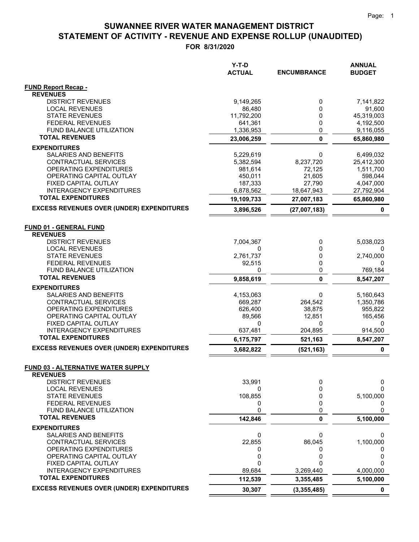|                                                         | Y-T-D<br><b>ACTUAL</b> | <b>ENCUMBRANCE</b>       | <b>ANNUAL</b><br><b>BUDGET</b> |
|---------------------------------------------------------|------------------------|--------------------------|--------------------------------|
|                                                         |                        |                          |                                |
| <b>FUND Report Recap -</b>                              |                        |                          |                                |
| <b>REVENUES</b><br><b>DISTRICT REVENUES</b>             |                        |                          |                                |
| <b>LOCAL REVENUES</b>                                   | 9,149,265<br>86,480    | 0<br>0                   | 7,141,822<br>91,600            |
| <b>STATE REVENUES</b>                                   | 11,792,200             | 0                        | 45,319,003                     |
| <b>FEDERAL REVENUES</b>                                 | 641,361                | 0                        | 4,192,500                      |
| FUND BALANCE UTILIZATION                                | 1,336,953              | 0                        | 9,116,055                      |
| <b>TOTAL REVENUES</b>                                   | 23,006,259             | 0                        | 65,860,980                     |
| <b>EXPENDITURES</b>                                     |                        |                          |                                |
| SALARIES AND BENEFITS                                   | 5,229,619              | 0                        | 6,499,032                      |
| CONTRACTUAL SERVICES                                    | 5,382,594              | 8,237,720                | 25,412,300                     |
| OPERATING EXPENDITURES                                  | 981,614                | 72,125                   | 1,511,700                      |
| OPERATING CAPITAL OUTLAY                                | 450,011                | 21,605                   | 598,044                        |
| FIXED CAPITAL OUTLAY<br><b>INTERAGENCY EXPENDITURES</b> | 187,333<br>6,878,562   | 27,790                   | 4,047,000<br>27,792,904        |
| <b>TOTAL EXPENDITURES</b>                               | 19,109,733             | 18,647,943<br>27,007,183 | 65,860,980                     |
| <b>EXCESS REVENUES OVER (UNDER) EXPENDITURES</b>        |                        |                          |                                |
|                                                         | 3,896,526              | (27,007,183)             | 0                              |
| <b>FUND 01 - GENERAL FUND</b>                           |                        |                          |                                |
| <b>REVENUES</b>                                         |                        |                          |                                |
| <b>DISTRICT REVENUES</b>                                | 7,004,367              | 0                        | 5,038,023                      |
| <b>LOCAL REVENUES</b>                                   | 0                      | 0                        | 0                              |
| <b>STATE REVENUES</b>                                   | 2,761,737              | 0                        | 2,740,000                      |
| <b>FEDERAL REVENUES</b>                                 | 92,515                 | 0                        | 0                              |
| FUND BALANCE UTILIZATION<br><b>TOTAL REVENUES</b>       | 0                      | 0                        | 769,184                        |
|                                                         | 9,858,619              | 0                        | 8,547,207                      |
| <b>EXPENDITURES</b>                                     |                        |                          |                                |
| SALARIES AND BENEFITS<br>CONTRACTUAL SERVICES           | 4,153,063<br>669,287   | 0<br>264,542             | 5,160,643<br>1,350,786         |
| OPERATING EXPENDITURES                                  | 626,400                | 38,875                   | 955,822                        |
| OPERATING CAPITAL OUTLAY                                | 89,566                 | 12,851                   | 165,456                        |
| FIXED CAPITAL OUTLAY                                    | 0                      | 0                        | 0                              |
| <b>INTERAGENCY EXPENDITURES</b>                         | 637,481                | 204,895                  | 914,500                        |
| <b>TOTAL EXPENDITURES</b>                               | 6,175,797              | 521,163                  | 8,547,207                      |
| <b>EXCESS REVENUES OVER (UNDER) EXPENDITURES</b>        | 3,682,822              | (521, 163)               | $\pmb{0}$                      |
|                                                         |                        |                          |                                |
| <b>FUND 03 - ALTERNATIVE WATER SUPPLY</b>               |                        |                          |                                |
| <b>REVENUES</b><br><b>DISTRICT REVENUES</b>             | 33,991                 | 0                        |                                |
| <b>LOCAL REVENUES</b>                                   | 0                      | 0                        | 0<br><sup>0</sup>              |
| <b>STATE REVENUES</b>                                   | 108,855                | 0                        | 5,100,000                      |
| FEDERAL REVENUES                                        | 0                      | 0                        | 0                              |
| FUND BALANCE UTILIZATION                                | 0                      | 0                        | $\Omega$                       |
| <b>TOTAL REVENUES</b>                                   | 142,846                | 0                        | 5,100,000                      |
| <b>EXPENDITURES</b>                                     |                        |                          |                                |
| SALARIES AND BENEFITS                                   | 0                      | 0                        | 0                              |
| <b>CONTRACTUAL SERVICES</b>                             | 22,855                 | 86,045                   | 1,100,000                      |
| OPERATING EXPENDITURES                                  | 0                      | 0                        |                                |
| OPERATING CAPITAL OUTLAY<br>FIXED CAPITAL OUTLAY        | 0<br>$\Omega$          | 0<br>U                   | 0                              |
| <b>INTERAGENCY EXPENDITURES</b>                         | 89,684                 | 3,269,440                | 4,000,000                      |
| <b>TOTAL EXPENDITURES</b>                               | 112,539                | 3,355,485                | 5,100,000                      |
| <b>EXCESS REVENUES OVER (UNDER) EXPENDITURES</b>        | 30,307                 | (3, 355, 485)            | 0                              |
|                                                         |                        |                          |                                |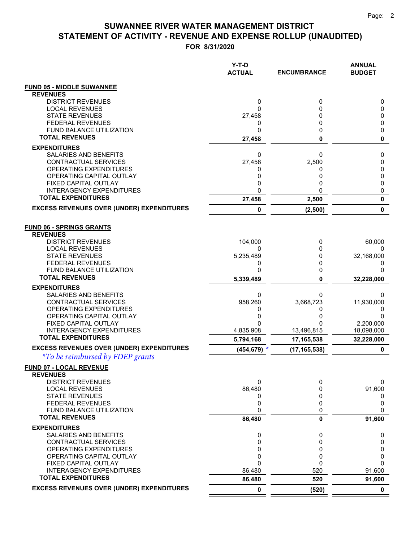|                                                              | Y-T-D<br><b>ACTUAL</b> | <b>ENCUMBRANCE</b> | <b>ANNUAL</b><br><b>BUDGET</b> |
|--------------------------------------------------------------|------------------------|--------------------|--------------------------------|
| <b>FUND 05 - MIDDLE SUWANNEE</b>                             |                        |                    |                                |
| <b>REVENUES</b>                                              |                        |                    |                                |
| <b>DISTRICT REVENUES</b>                                     | 0                      | 0                  | 0                              |
| <b>LOCAL REVENUES</b><br><b>STATE REVENUES</b>               | 0<br>27,458            | 0<br>0             | 0<br>0                         |
| <b>FEDERAL REVENUES</b>                                      | 0                      | 0                  | 0                              |
| FUND BALANCE UTILIZATION                                     | 0                      | 0                  | 0                              |
| <b>TOTAL REVENUES</b>                                        | 27,458                 | 0                  | $\mathbf 0$                    |
| <b>EXPENDITURES</b>                                          |                        |                    |                                |
| SALARIES AND BENEFITS                                        | 0                      | 0                  | 0                              |
| CONTRACTUAL SERVICES                                         | 27,458                 | 2,500              | 0                              |
| OPERATING EXPENDITURES<br>OPERATING CAPITAL OUTLAY           | 0<br>0                 | 0<br>0             | 0<br>0                         |
| FIXED CAPITAL OUTLAY                                         | 0                      | 0                  | 0                              |
| <b>INTERAGENCY EXPENDITURES</b>                              | 0                      | 0                  | 0                              |
| <b>TOTAL EXPENDITURES</b>                                    | 27,458                 | 2,500              | 0                              |
| <b>EXCESS REVENUES OVER (UNDER) EXPENDITURES</b>             | 0                      | (2,500)            | 0                              |
| <b>FUND 06 - SPRINGS GRANTS</b><br><b>REVENUES</b>           |                        |                    |                                |
| <b>DISTRICT REVENUES</b>                                     | 104,000                | 0                  | 60,000                         |
| <b>LOCAL REVENUES</b><br><b>STATE REVENUES</b>               | 0<br>5,235,489         | 0<br>0             | 32,168,000                     |
| <b>FEDERAL REVENUES</b>                                      | 0                      | 0                  | 0                              |
| FUND BALANCE UTILIZATION                                     | 0                      | 0                  | 0                              |
| <b>TOTAL REVENUES</b>                                        | 5,339,489              | 0                  | 32,228,000                     |
| <b>EXPENDITURES</b>                                          |                        |                    |                                |
| SALARIES AND BENEFITS                                        | 0                      | 0                  | 0                              |
| CONTRACTUAL SERVICES                                         | 958,260                | 3,668,723          | 11,930,000                     |
| OPERATING EXPENDITURES<br>OPERATING CAPITAL OUTLAY           | 0<br>0                 | 0<br>0             | 0<br>0                         |
| FIXED CAPITAL OUTLAY                                         | 0                      | 0                  | 2,200,000                      |
| <b>INTERAGENCY EXPENDITURES</b>                              | 4,835,908              | 13,496,815         | 18,098,000                     |
| <b>TOTAL EXPENDITURES</b>                                    | 5,794,168              | 17,165,538         | 32,228,000                     |
| <b>EXCESS REVENUES OVER (UNDER) EXPENDITURES</b>             | $(454, 679)$ *         | (17, 165, 538)     | 0                              |
| <i>*To be reimbursed by FDEP grants</i>                      |                        |                    |                                |
| FUND 07 - LOCAL REVENUE<br><b>REVENUES</b>                   |                        |                    |                                |
| <b>DISTRICT REVENUES</b>                                     | 0                      | 0                  | 0                              |
| <b>LOCAL REVENUES</b>                                        | 86,480                 | 0                  | 91,600                         |
| <b>STATE REVENUES</b>                                        | 0                      | 0                  | 0                              |
| <b>FEDERAL REVENUES</b><br>FUND BALANCE UTILIZATION          | 0<br>0                 | 0<br>0             | 0<br>$\Omega$                  |
| <b>TOTAL REVENUES</b>                                        | 86,480                 | 0                  | 91,600                         |
| <b>EXPENDITURES</b>                                          |                        |                    |                                |
| SALARIES AND BENEFITS                                        | 0                      | 0                  | 0                              |
| <b>CONTRACTUAL SERVICES</b>                                  | 0                      | 0                  | 0                              |
| OPERATING EXPENDITURES                                       | 0                      | 0                  | 0                              |
| OPERATING CAPITAL OUTLAY                                     | 0                      | 0                  | 0                              |
| FIXED CAPITAL OUTLAY                                         | 0                      | 0                  | $\Omega$                       |
| <b>INTERAGENCY EXPENDITURES</b><br><b>TOTAL EXPENDITURES</b> | 86,480                 | 520<br>520         | 91,600                         |
| <b>EXCESS REVENUES OVER (UNDER) EXPENDITURES</b>             | 86,480<br>$\mathbf 0$  |                    | 91,600<br>0                    |
|                                                              |                        | (520)              |                                |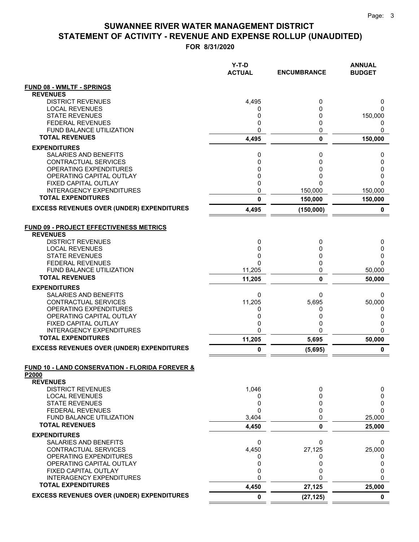|                                                                     | Y-T-D<br><b>ACTUAL</b> | <b>ENCUMBRANCE</b> | <b>ANNUAL</b><br><b>BUDGET</b> |
|---------------------------------------------------------------------|------------------------|--------------------|--------------------------------|
| <b>FUND 08 - WMLTF - SPRINGS</b>                                    |                        |                    |                                |
| <b>REVENUES</b>                                                     |                        |                    |                                |
| <b>DISTRICT REVENUES</b>                                            | 4,495                  | 0                  | 0                              |
| <b>LOCAL REVENUES</b><br><b>STATE REVENUES</b>                      | 0<br>0                 | 0<br>0             | 0<br>150,000                   |
| <b>FEDERAL REVENUES</b>                                             | 0                      | 0                  | 0                              |
| <b>FUND BALANCE UTILIZATION</b>                                     | 0                      | 0                  | 0                              |
| <b>TOTAL REVENUES</b>                                               | 4,495                  | 0                  | 150,000                        |
| <b>EXPENDITURES</b>                                                 |                        |                    |                                |
| SALARIES AND BENEFITS                                               | 0                      | 0                  | 0                              |
| CONTRACTUAL SERVICES<br>OPERATING EXPENDITURES                      | 0<br>0                 | 0<br>0             | 0<br>0                         |
| OPERATING CAPITAL OUTLAY                                            | 0                      | 0                  | 0                              |
| FIXED CAPITAL OUTLAY                                                | 0                      | 0                  | 0                              |
| <b>INTERAGENCY EXPENDITURES</b>                                     | 0                      | 150,000            | 150,000                        |
| <b>TOTAL EXPENDITURES</b>                                           | $\mathbf{0}$           | 150,000            | 150,000                        |
| <b>EXCESS REVENUES OVER (UNDER) EXPENDITURES</b>                    | 4,495                  | (150,000)          | 0                              |
| <b>FUND 09 - PROJECT EFFECTIVENESS METRICS</b><br><b>REVENUES</b>   |                        |                    |                                |
| <b>DISTRICT REVENUES</b>                                            | 0                      | 0                  | 0                              |
| <b>LOCAL REVENUES</b>                                               | $\mathbf 0$            | 0                  | 0                              |
| <b>STATE REVENUES</b><br><b>FEDERAL REVENUES</b>                    | 0<br>$\Omega$          | 0<br>0             | 0<br>$\Omega$                  |
| <b>FUND BALANCE UTILIZATION</b>                                     | 11,205                 | 0                  | 50,000                         |
| <b>TOTAL REVENUES</b>                                               | 11,205                 | 0                  | 50,000                         |
| <b>EXPENDITURES</b>                                                 |                        |                    |                                |
| SALARIES AND BENEFITS                                               | 0                      | 0                  | 0                              |
| CONTRACTUAL SERVICES                                                | 11,205                 | 5,695              | 50,000                         |
| OPERATING EXPENDITURES<br>OPERATING CAPITAL OUTLAY                  | 0<br>0                 | 0<br>0             | 0<br>0                         |
| FIXED CAPITAL OUTLAY                                                | 0                      | 0                  | 0                              |
| <b>INTERAGENCY EXPENDITURES</b>                                     | 0                      | 0                  | $\Omega$                       |
| <b>TOTAL EXPENDITURES</b>                                           | 11,205                 | 5,695              | 50,000                         |
| <b>EXCESS REVENUES OVER (UNDER) EXPENDITURES</b>                    | 0                      | (5,695)            | 0                              |
| <b>FUND 10 - LAND CONSERVATION - FLORIDA FOREVER &amp;</b><br>P2000 |                        |                    |                                |
| <b>REVENUES</b>                                                     |                        |                    |                                |
| <b>DISTRICT REVENUES</b>                                            | 1,046                  | 0                  | 0                              |
| <b>LOCAL REVENUES</b>                                               | 0                      | 0                  | 0                              |
| <b>STATE REVENUES</b><br><b>FEDERAL REVENUES</b>                    | 0<br>$\mathbf{0}$      | 0<br>0             | 0<br>$\Omega$                  |
| <b>FUND BALANCE UTILIZATION</b>                                     | 3,404                  | 0                  | 25,000                         |
| <b>TOTAL REVENUES</b>                                               | 4,450                  | 0                  | 25,000                         |
| <b>EXPENDITURES</b>                                                 |                        |                    |                                |
| SALARIES AND BENEFITS                                               | 0                      | 0                  | 0                              |
| <b>CONTRACTUAL SERVICES</b>                                         | 4,450                  | 27,125             | 25,000                         |
| OPERATING EXPENDITURES<br>OPERATING CAPITAL OUTLAY                  | 0<br>0                 | 0<br>0             | 0<br>0                         |
| FIXED CAPITAL OUTLAY                                                | 0                      | 0                  | 0                              |
| <b>INTERAGENCY EXPENDITURES</b>                                     | 0                      | 0                  | 0                              |
| <b>TOTAL EXPENDITURES</b>                                           | 4,450                  | 27,125             | 25,000                         |
| <b>EXCESS REVENUES OVER (UNDER) EXPENDITURES</b>                    | $\pmb{0}$              | (27, 125)          | $\mathbf 0$                    |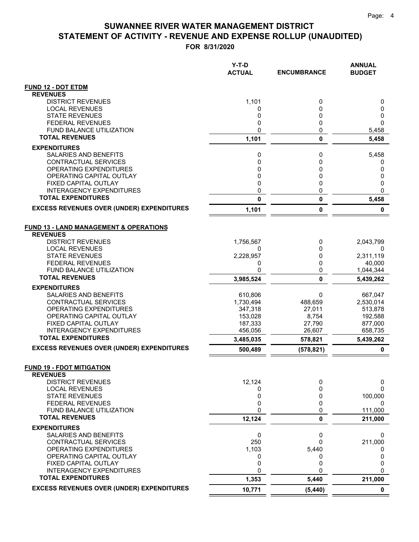**FOR 8/31/2020**

|                                                           | Y-T-D<br><b>ACTUAL</b> | <b>ENCUMBRANCE</b> | <b>ANNUAL</b><br><b>BUDGET</b> |
|-----------------------------------------------------------|------------------------|--------------------|--------------------------------|
| <b>FUND 12 - DOT ETDM</b>                                 |                        |                    |                                |
| <b>REVENUES</b>                                           |                        |                    |                                |
| <b>DISTRICT REVENUES</b>                                  | 1,101                  | 0                  | 0                              |
| <b>LOCAL REVENUES</b>                                     | 0                      | 0                  | 0                              |
| <b>STATE REVENUES</b><br><b>FEDERAL REVENUES</b>          | 0<br>0                 | 0<br>0             | 0<br>0                         |
| FUND BALANCE UTILIZATION                                  | 0                      | 0                  | 5,458                          |
| <b>TOTAL REVENUES</b>                                     | 1,101                  | $\mathbf 0$        | 5,458                          |
| <b>EXPENDITURES</b>                                       |                        |                    |                                |
| SALARIES AND BENEFITS                                     | 0                      | 0                  | 5,458                          |
| CONTRACTUAL SERVICES                                      | 0                      | 0                  | 0                              |
| <b>OPERATING EXPENDITURES</b>                             | 0                      | 0                  | 0                              |
| OPERATING CAPITAL OUTLAY                                  | 0                      | 0                  | 0                              |
| FIXED CAPITAL OUTLAY                                      | 0                      | 0                  | 0                              |
| INTERAGENCY EXPENDITURES                                  | 0                      | 0                  | 0                              |
| <b>TOTAL EXPENDITURES</b>                                 | 0                      | $\pmb{0}$          | 5,458                          |
| <b>EXCESS REVENUES OVER (UNDER) EXPENDITURES</b>          | 1,101                  | $\pmb{0}$          | 0                              |
| <b>FUND 13 - LAND MANAGEMENT &amp; OPERATIONS</b>         |                        |                    |                                |
| <b>REVENUES</b>                                           |                        |                    |                                |
| <b>DISTRICT REVENUES</b><br><b>LOCAL REVENUES</b>         | 1,756,567<br>0         | 0<br>0             | 2,043,799<br>0                 |
| <b>STATE REVENUES</b>                                     | 2,228,957              | 0                  | 2,311,119                      |
| <b>FEDERAL REVENUES</b>                                   | 0                      | 0                  | 40,000                         |
| <b>FUND BALANCE UTILIZATION</b>                           | 0                      | 0                  | 1,044,344                      |
| <b>TOTAL REVENUES</b>                                     | 3,985,524              | $\mathbf{0}$       | 5,439,262                      |
| <b>EXPENDITURES</b>                                       |                        |                    |                                |
| SALARIES AND BENEFITS                                     | 610,806                | 0                  | 667,047                        |
| CONTRACTUAL SERVICES                                      | 1,730,494              | 488,659            | 2,530,014                      |
| <b>OPERATING EXPENDITURES</b><br>OPERATING CAPITAL OUTLAY | 347,318<br>153,028     | 27,011<br>8,754    | 513,878<br>192,588             |
| FIXED CAPITAL OUTLAY                                      | 187,333                | 27,790             | 877,000                        |
| <b>INTERAGENCY EXPENDITURES</b>                           | 456,056                | 26,607             | 658,735                        |
| <b>TOTAL EXPENDITURES</b>                                 | 3,485,035              | 578,821            | 5,439,262                      |
| <b>EXCESS REVENUES OVER (UNDER) EXPENDITURES</b>          | 500,489                | (578, 821)         | 0                              |
| <b>FUND 19 - FDOT MITIGATION</b>                          |                        |                    |                                |
| <b>REVENUES</b>                                           |                        |                    |                                |
| <b>DISTRICT REVENUES</b><br><b>LOCAL REVENUES</b>         | 12,124<br>0            | 0<br>$\Omega$      | 0<br>0                         |
| <b>STATE REVENUES</b>                                     | 0                      | 0                  | 100,000                        |
| <b>FEDERAL REVENUES</b>                                   | 0                      | 0                  | 0                              |
| FUND BALANCE UTILIZATION                                  | 0                      | 0                  | 111,000                        |
| <b>TOTAL REVENUES</b>                                     | 12,124                 | 0                  | 211,000                        |
| <b>EXPENDITURES</b>                                       |                        |                    |                                |
| SALARIES AND BENEFITS                                     | 0                      | 0                  | 0                              |
| CONTRACTUAL SERVICES                                      | 250                    | 0                  | 211,000                        |
| OPERATING EXPENDITURES<br>OPERATING CAPITAL OUTLAY        | 1,103<br>0             | 5,440<br>0         | 0<br>0                         |
| FIXED CAPITAL OUTLAY                                      | 0                      | 0                  | 0                              |
| <b>INTERAGENCY EXPENDITURES</b>                           | 0                      | $\Omega$           | $\Omega$                       |
| <b>TOTAL EXPENDITURES</b>                                 | 1,353                  | 5,440              | 211,000                        |
| <b>EXCESS REVENUES OVER (UNDER) EXPENDITURES</b>          | 10,771                 | (5, 440)           | $\mathbf 0$                    |

 $=$  $\equiv$   $=$   $=$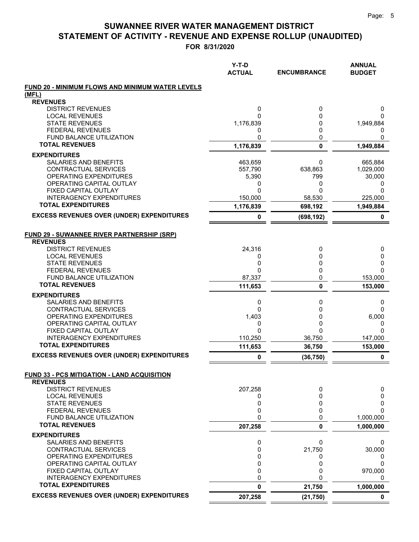|                                                         | $Y-T-D$<br><b>ACTUAL</b> | <b>ENCUMBRANCE</b> | <b>ANNUAL</b><br><b>BUDGET</b> |
|---------------------------------------------------------|--------------------------|--------------------|--------------------------------|
| <b>FUND 20 - MINIMUM FLOWS AND MINIMUM WATER LEVELS</b> |                          |                    |                                |
| (MFL)                                                   |                          |                    |                                |
| <b>REVENUES</b>                                         |                          |                    |                                |
| <b>DISTRICT REVENUES</b><br><b>LOCAL REVENUES</b>       | 0<br>0                   | 0<br>0             | 0<br>0                         |
| <b>STATE REVENUES</b>                                   | 1,176,839                | 0                  | 1,949,884                      |
| <b>FEDERAL REVENUES</b>                                 | 0                        | 0                  | 0                              |
| FUND BALANCE UTILIZATION                                | 0                        | 0                  | 0                              |
| <b>TOTAL REVENUES</b>                                   | 1,176,839                | $\mathbf 0$        | 1,949,884                      |
| <b>EXPENDITURES</b>                                     |                          |                    |                                |
| SALARIES AND BENEFITS                                   | 463,659                  | 0                  | 665,884                        |
| CONTRACTUAL SERVICES                                    | 557,790                  | 638,863            | 1,029,000                      |
| OPERATING EXPENDITURES                                  | 5,390                    | 799                | 30,000                         |
| OPERATING CAPITAL OUTLAY<br><b>FIXED CAPITAL OUTLAY</b> | 0                        | 0<br>0             | 0                              |
| <b>INTERAGENCY EXPENDITURES</b>                         | 0<br>150,000             | 58,530             | 0<br>225,000                   |
| <b>TOTAL EXPENDITURES</b>                               | 1,176,839                | 698,192            | 1,949,884                      |
| <b>EXCESS REVENUES OVER (UNDER) EXPENDITURES</b>        |                          |                    |                                |
|                                                         | 0                        | (698, 192)         | 0                              |
| <b>FUND 29 - SUWANNEE RIVER PARTNERSHIP (SRP)</b>       |                          |                    |                                |
| <b>REVENUES</b>                                         |                          |                    |                                |
| <b>DISTRICT REVENUES</b><br><b>LOCAL REVENUES</b>       | 24,316<br>0              | 0<br>$\Omega$      | 0<br>0                         |
| <b>STATE REVENUES</b>                                   | 0                        | 0                  | 0                              |
| <b>FEDERAL REVENUES</b>                                 | 0                        | 0                  | $\Omega$                       |
| <b>FUND BALANCE UTILIZATION</b>                         | 87,337                   | 0                  | 153,000                        |
| <b>TOTAL REVENUES</b>                                   | 111,653                  | 0                  | 153,000                        |
| <b>EXPENDITURES</b>                                     |                          |                    |                                |
| SALARIES AND BENEFITS                                   | 0                        | 0                  | 0                              |
| CONTRACTUAL SERVICES                                    | 0                        | 0                  | $\mathbf{0}$                   |
| OPERATING EXPENDITURES                                  | 1,403                    | 0                  | 6,000                          |
| OPERATING CAPITAL OUTLAY                                | 0                        | 0                  | 0                              |
| FIXED CAPITAL OUTLAY<br><b>INTERAGENCY EXPENDITURES</b> | 0<br>110,250             | 0<br>36.750        | $\mathbf{0}$<br>147,000        |
| <b>TOTAL EXPENDITURES</b>                               | 111,653                  | 36,750             | 153,000                        |
| <b>EXCESS REVENUES OVER (UNDER) EXPENDITURES</b>        | 0                        | (36, 750)          | 0                              |
| <b>FUND 33 - PCS MITIGATION - LAND ACQUISITION</b>      |                          |                    |                                |
| <b>REVENUES</b>                                         |                          |                    |                                |
| <b>DISTRICT REVENUES</b>                                | 207,258                  | 0                  | 0                              |
| <b>LOCAL REVENUES</b>                                   | 0                        | 0                  | 0                              |
| <b>STATE REVENUES</b>                                   | 0                        | 0                  | 0                              |
| <b>FEDERAL REVENUES</b>                                 | 0                        | 0                  | $\Omega$                       |
| FUND BALANCE UTILIZATION                                | 0                        | 0                  | 1,000,000                      |
| <b>TOTAL REVENUES</b>                                   | 207,258                  | 0                  | 1,000,000                      |
| <b>EXPENDITURES</b>                                     |                          |                    |                                |
| SALARIES AND BENEFITS                                   | 0                        | 0                  | 0                              |
| CONTRACTUAL SERVICES<br>OPERATING EXPENDITURES          | 0<br>0                   | 21,750<br>0        | 30,000                         |
| OPERATING CAPITAL OUTLAY                                | 0                        | 0                  | U<br>$\Omega$                  |
| FIXED CAPITAL OUTLAY                                    | 0                        | 0                  | 970,000                        |
| <b>INTERAGENCY EXPENDITURES</b>                         | 0                        | 0                  | 0                              |
| <b>TOTAL EXPENDITURES</b>                               | 0                        | 21,750             | 1,000,000                      |
| <b>EXCESS REVENUES OVER (UNDER) EXPENDITURES</b>        | 207,258                  | (21, 750)          | 0                              |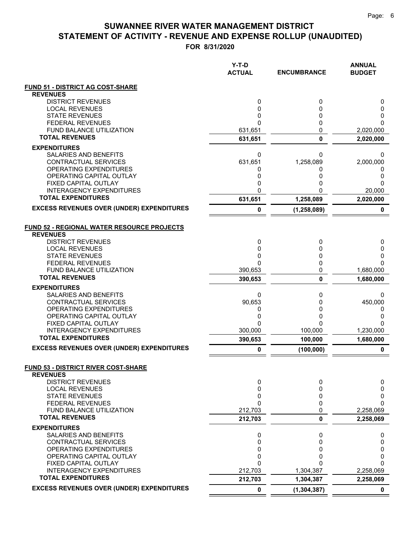|                                                    | Y-T-D<br><b>ACTUAL</b> | <b>ENCUMBRANCE</b> | <b>ANNUAL</b><br><b>BUDGET</b> |
|----------------------------------------------------|------------------------|--------------------|--------------------------------|
| FUND 51 - DISTRICT AG COST-SHARE                   |                        |                    |                                |
| <b>REVENUES</b>                                    |                        |                    |                                |
| <b>DISTRICT REVENUES</b>                           | 0                      | 0                  | 0                              |
| <b>LOCAL REVENUES</b><br><b>STATE REVENUES</b>     | 0<br>0                 | $\Omega$<br>0      | 0<br>0                         |
| <b>FEDERAL REVENUES</b>                            | 0                      | 0                  | 0                              |
| <b>FUND BALANCE UTILIZATION</b>                    | 631,651                | 0                  | 2,020,000                      |
| <b>TOTAL REVENUES</b>                              | 631,651                | $\mathbf 0$        | 2,020,000                      |
| <b>EXPENDITURES</b>                                |                        |                    |                                |
| <b>SALARIES AND BENEFITS</b>                       | 0                      | 0                  | 0                              |
| <b>CONTRACTUAL SERVICES</b>                        | 631,651                | 1,258,089          | 2,000,000                      |
| OPERATING EXPENDITURES<br>OPERATING CAPITAL OUTLAY | 0<br>0                 | 0<br>0             | 0<br>0                         |
| FIXED CAPITAL OUTLAY                               | 0                      | 0                  | 0                              |
| <b>INTERAGENCY EXPENDITURES</b>                    | 0                      | 0                  | 20,000                         |
| <b>TOTAL EXPENDITURES</b>                          | 631,651                | 1,258,089          | 2,020,000                      |
| <b>EXCESS REVENUES OVER (UNDER) EXPENDITURES</b>   | 0                      | (1, 258, 089)      | 0                              |
| <b>FUND 52 - REGIONAL WATER RESOURCE PROJECTS</b>  |                        |                    |                                |
| <b>REVENUES</b>                                    |                        |                    |                                |
| <b>DISTRICT REVENUES</b><br><b>LOCAL REVENUES</b>  | 0                      | 0                  | 0                              |
| <b>STATE REVENUES</b>                              | 0<br>0                 | 0<br>0             | 0<br>0                         |
| <b>FEDERAL REVENUES</b>                            | 0                      | 0                  | 0                              |
| FUND BALANCE UTILIZATION                           | 390,653                | 0                  | 1,680,000                      |
| <b>TOTAL REVENUES</b>                              | 390,653                | 0                  | 1,680,000                      |
| <b>EXPENDITURES</b>                                |                        |                    |                                |
| SALARIES AND BENEFITS                              | 0                      | 0                  | 0                              |
| CONTRACTUAL SERVICES<br>OPERATING EXPENDITURES     | 90,653<br>0            | 0<br>0             | 450,000                        |
| OPERATING CAPITAL OUTLAY                           | 0                      | 0                  | 0<br>0                         |
| FIXED CAPITAL OUTLAY                               | 0                      | 0                  | 0                              |
| <b>INTERAGENCY EXPENDITURES</b>                    | 300,000                | 100,000            | 1,230,000                      |
| <b>TOTAL EXPENDITURES</b>                          | 390,653                | 100,000            | 1,680,000                      |
| <b>EXCESS REVENUES OVER (UNDER) EXPENDITURES</b>   | 0                      | (100, 000)         | 0                              |
| FUND 53 - DISTRICT RIVER COST-SHARE                |                        |                    |                                |
| <b>REVENUES</b>                                    |                        |                    |                                |
| <b>DISTRICT REVENUES</b><br><b>LOCAL REVENUES</b>  | 0<br>0                 | 0<br>0             | 0<br>0                         |
| <b>STATE REVENUES</b>                              | 0                      | 0                  | 0                              |
| <b>FEDERAL REVENUES</b>                            | 0                      | 0                  | $\Omega$                       |
| FUND BALANCE UTILIZATION                           | 212,703                | 0                  | 2,258,069                      |
| <b>TOTAL REVENUES</b>                              | 212,703                | 0                  | 2,258,069                      |
| <b>EXPENDITURES</b>                                |                        |                    |                                |
| SALARIES AND BENEFITS                              | 0                      | 0                  | 0                              |
| <b>CONTRACTUAL SERVICES</b>                        | 0<br>0                 | $\Omega$<br>0      | 0<br>0                         |
| OPERATING EXPENDITURES<br>OPERATING CAPITAL OUTLAY | 0                      | 0                  | 0                              |
| FIXED CAPITAL OUTLAY                               | 0                      | n                  | 0                              |
| <b>INTERAGENCY EXPENDITURES</b>                    | 212,703                | 1,304,387          | 2,258,069                      |
| <b>TOTAL EXPENDITURES</b>                          | 212,703                | 1,304,387          | 2,258,069                      |
| <b>EXCESS REVENUES OVER (UNDER) EXPENDITURES</b>   | 0                      | (1, 304, 387)      | 0                              |